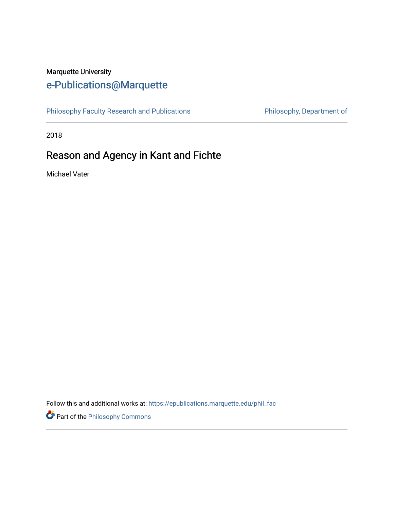# Marquette University [e-Publications@Marquette](https://epublications.marquette.edu/)

[Philosophy Faculty Research and Publications](https://epublications.marquette.edu/phil_fac) **Philosophy, Department of** 

2018

# Reason and Agency in Kant and Fichte

Michael Vater

Follow this and additional works at: [https://epublications.marquette.edu/phil\\_fac](https://epublications.marquette.edu/phil_fac?utm_source=epublications.marquette.edu%2Fphil_fac%2F773&utm_medium=PDF&utm_campaign=PDFCoverPages)

Part of the [Philosophy Commons](http://network.bepress.com/hgg/discipline/525?utm_source=epublications.marquette.edu%2Fphil_fac%2F773&utm_medium=PDF&utm_campaign=PDFCoverPages)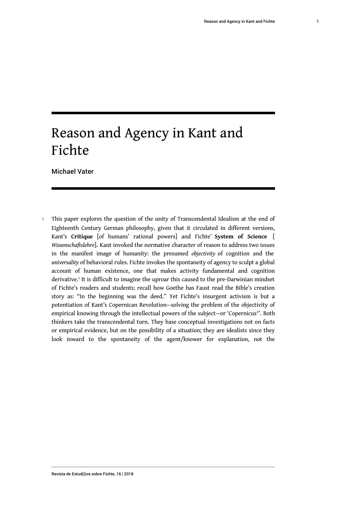# Reason and Agency in Kant and Fichte

Michael Vater

<span id="page-1-0"></span>This paper explores the question of the unity of Transcendental Idealism at the end of Eighteenth Century German philosophy, given that it circulated in different versions, Kant's **Critique** [of humans' rational powers] and Fichte' **System of Science** [ *Wissenschaftslehre*]**.** Kant invoked the normative character of reason to address two issues in the manifest image of humanity: the presumed *objectivity* of cognition and the *universality* of behavioral rules. Fichte invokes the spontaneity of agency to sculpt a global account of human existence, one that makes activity fundamental and cognition derivative.[1](#page-14-0) It is difficult to imagine the uproar this caused to the pre-Darwinian mindset of Fichte's readers and students; recall how Goethe has Faust read the Bible's creation story as: "In the beginning was the deed." Yet Fichte's insurgent activism is but a potentiation of Kant's Copernican Revolution—solving the problem of the objectivity of empirical knowing through the intellectual powers of the subject—or 'Copernicus<sup>2</sup>'. Both thinkers take the transcendental turn. They base conceptual investigations not on facts or empirical evidence, but on the possibility of a situation; they are idealists since they look inward to the spontaneity of the agent/knower for explanation, not the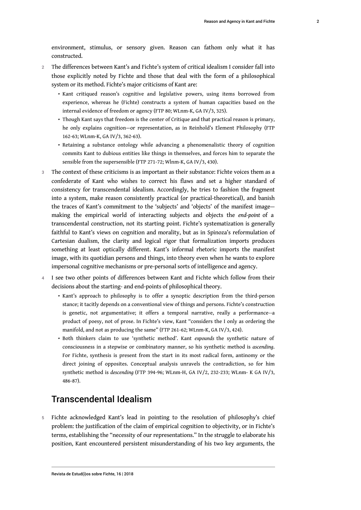environment, stimulus, or sensory given. Reason can fathom only what it has constructed.

- 2 The differences between Kant's and Fichte's system of critical idealism I consider fall into those explicitly noted by Fichte and those that deal with the form of a philosophical system or its method. Fichte's major criticisms of Kant are:
	- Kant critiqued reason's cognitive and legislative powers, using items borrowed from experience, whereas he (Fichte) constructs a system of human capacities based on the internal evidence of freedom or agency (FTP 80; WLnm-K, GA IV/3, 325).
	- Though Kant says that freedom is the center of Critique and that practical reason is primary, he only explains cognition—or representation, as in Reinhold's Element Philosophy (FTP 162-63; WLnm-K, GA IV/3, 362-63).
	- Retaining a substance ontology while advancing a phenomenalistic theory of cognition commits Kant to dubious entities like things in themselves, and forces him to separate the sensible from the supersensible (FTP 271-72; Wlnm-K, GA IV/3, 430).
- 3 The context of these criticisms is as important as their substance: Fichte voices them as a confederate of Kant who wishes to correct his flaws and set a higher standard of consistency for transcendental idealism. Accordingly, he tries to fashion the fragment into a system, make reason consistently practical (or practical-theoretical), and banish the traces of Kant's commitment to the 'subjects' and 'objects' of the manifest image making the empirical world of interacting subjects and objects the *end-point* of a transcendental construction, not its starting point. Fichte's systematization is generally faithful to Kant's views on cognition and morality, but as in Spinoza's reformulation of Cartesian dualism, the clarity and logical rigor that formalization imports produces something at least optically different. Kant's informal rhetoric imports the manifest image, with its quotidian persons and things, into theory even when he wants to explore impersonal cognitive mechanisms or pre-personal sorts of intelligence and agency.
- I see two other points of differences between Kant and Fichte which follow from their decisions about the starting- and end-points of philosophical theory.
	- Kant's approach to philosophy is to offer a synoptic description from the third-person stance; it tacitly depends on a conventional view of things and persons. Fichte's construction is genetic, not argumentative; it offers a temporal narrative, really a performance--a product of poesy, not of prose. In Fichte's view, Kant "considers the I only as ordering the manifold, and not as producing the same" (FTP 261-62; WLnm-K, GA IV/3, 424).
	- Both thinkers claim to use 'synthetic method'. Kant *expounds* the synthetic nature of consciousness in a stepwise or combinatory manner, so his synthetic method is *ascending*. For Fichte, synthesis is present from the start in its most radical form, antinomy or the direct joining of opposites. Conceptual analysis unravels the contradiction, so for him synthetic method is *descending* (FTP 394-96; WLnm-H, GA IV/2, 232-233; WLnm- K GA IV/3, 486-87).

## Transcendental Idealism

5 Fichte acknowledged Kant's lead in pointing to the resolution of philosophy's chief problem: the justification of the claim of empirical cognition to objectivity, or in Fichte's terms, establishing the "necessity of our representations." In the struggle to elaborate his position, Kant encountered persistent misunderstanding of his two key arguments, the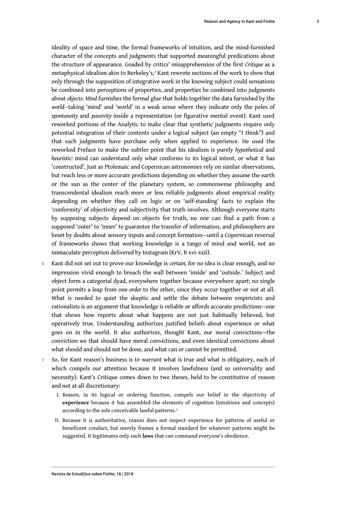3

<span id="page-3-0"></span>ideality of space and time, the formal frameworks of intuition, and the mind-furnished character of the concepts and judgments that supported meaningful predications about the structure of appearance. Goaded by critics' misapprehension of the first *Critique* as a metaphysical idealism akin to Berkeley's, $^2$  $^2$  Kant rewrote sections of the work to show that only through the supposition of integrative work in the knowing subject could sensations be combined into perceptions of properties, and properties be combined into judgments about *objects. Mind* furnishes the formal glue that holds together the data furnished by the *world--*taking 'mind' and 'world' in a weak sense where they indicate only the poles of *spontaneity* and *passivity* inside a representation (or figurative mental event). Kant used reworked portions of the Analytic to make clear that synthetic judgments require only potential integration of their contents under a logical subject (an empty "I think") and that such judgments have purchase only when applied to experience. He used the reworked Preface to make the subtler point that his idealism is purely *hypothetical* and *heuristic:* mind can understand only what conforms to its logical intent, or what it has 'constructed'. Just as Ptolemaic and Copernican astronomies rely on similar observations, but reach less or more accurate predictions depending on whether they assume the earth or the sun as the center of the planetary system, so commonsense philosophy and transcendental idealism reach more or less reliable judgments about empirical reality depending on whether they call on logic or on 'self-standing' facts to explain the 'conformity' of objectivity and subjectivity that truth involves. Although everyone starts by supposing subjects depend on objects for truth, no one can find a path from a supposed 'outer' to 'inner' to guarantee the transfer of information, and philosophers are beset by doubts about sensory inputs and concept formation—until a Copernican reversal of frameworks shows that working knowledge is a tango of mind and world, not an immaculate perception delivered by Instagram (KrV, B xvi-xxii).

- <sup>6</sup>Kant did not set out to prove our knowledge is *certain,* for no idea is clear enough, and no impression vivid enough to breach the wall between 'inside' and 'outside.' Subject and object form a categorial dyad, everywhere together because everywhere apart; no single point permits a leap from one *order* to the other, since they occur together or not at all. What is needed to quiet the skeptic and settle the debate between empiricists and rationalists is an argument that knowledge is reliable or affords accurate predictions--one that shows how reports about what happens are not just habitually believed, but operatively true. Understanding authorizes justified beliefs about experience or what goes on in the world. It also authorizes, thought Kant, our moral convictions—the conviction we that should have moral convictions, and even identical convictions about what should and should not be done, and what can or cannot be permitted.
- <span id="page-3-1"></span>7 So, for Kant reason's business is to warrant what is true and what is obligatory, each of which compels our attention because it involves lawfulness (and so universality and necessity). Kant's Critique comes down to two theses, held to be constitutive of reason and not at all discretionary:
	- I. Reason, in its logical or ordering function, compels our belief in the objectivity of **experience** because it has assembled the elements of cognition (intuitions and concepts) according to the sole conceivable lawful patterns.<sup>[3](#page-14-2)</sup>
	- II. Because it is authoritative, reason does not inspect experience for patterns of useful or beneficent conduct, but merely frames a formal standard for whatever patterns might be suggested. It legitimates only such **laws** that can command everyone's obedience.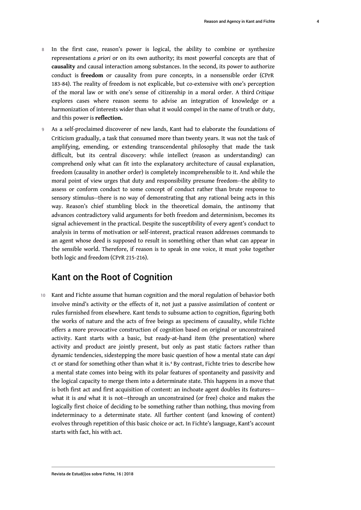- 8 In the first case, reason's power is logical, the ability to combine or synthesize representations *a priori* or on its own authority; its most powerful concepts are that of **causality** and causal interaction among substances. In the second, its power to authorize conduct is **freedom** or causality from pure concepts, in a nonsensible order (CPrR 183-84). The reality of freedom is not explicable, but co-extensive with one's perception of the moral law or with one's sense of citizenship in a moral order. A third *Critique* explores cases where reason seems to advise an integration of knowledge or a harmonization of interests wider than what it would compel in the name of truth or duty, and this power is **reflection.**
- 9 As a self-proclaimed discoverer of new lands, Kant had to elaborate the foundations of Criticism gradually, a task that consumed more than twenty years. It was not the task of amplifying, emending, or extending transcendental philosophy that made the task difficult, but its central discovery: while intellect (reason as understanding) can comprehend only what can fit into the explanatory architecture of causal explanation, freedom (causality in another order) is completely incomprehensible to it. And while the moral point of view urges that duty and responsibility presume freedom--the ability to assess or conform conduct to some concept of conduct rather than brute response to sensory stimulus--there is no way of demonstrating that any rational being acts in this way. Reason's chief stumbling block in the theoretical domain, the antinomy that advances contradictory valid arguments for both freedom and determinism, becomes its signal achievement in the practical. Despite the susceptibility of every agent's conduct to analysis in terms of motivation or self-interest, practical reason addresses commands to an agent whose deed is supposed to result in something other than what can appear in the sensible world. Therefore, if reason is to speak in one voice, it must yoke together both logic and freedom (CPrR 215-216).

# Kant on the Root of Cognition

<span id="page-4-0"></span>10 Kant and Fichte assume that human cognition and the moral regulation of behavior both involve mind's activity or the effects of it, not just a passive assimilation of content or rules furnished from elsewhere. Kant tends to subsume action to cognition, figuring both the works of nature and the acts of free beings as specimens of causality, while Fichte offers a more provocative construction of cognition based on original or unconstrained activity. Kant starts with a basic, but ready-at-hand item (the presentation) where activity and product are jointly present, but only as past static factors rather than dynamic tendencies, sidestepping the more basic question of how a mental state can *depi* ct or stand for something other than what it is.[4](#page-14-3) By contrast, Fichte tries to describe how a mental state comes into being with its polar features of spontaneity and passivity and the logical capacity to merge them into a determinate state. This happens in a move that is both first act and first acquisition of content: an inchoate agent doubles its features what it is *and* what it is not—through an unconstrained (or free) choice and makes the logically first choice of deciding to be something rather than nothing, thus moving from indeterminacy to a determinate state. All further content (and knowing of content) evolves through repetition of this basic choice or act. In Fichte's language, Kant's account starts with fact, his with act.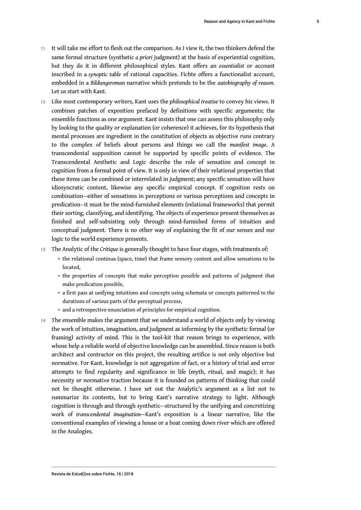- 11 It will take me effort to flesh out the comparison. As I view it, the two thinkers defend the same formal structure (synthetic *a priori* judgment) at the basis of experiential cognition, but they do it in different philosophical styles. Kant offers an *essentialist* or account inscribed in a *synoptic table* of rational capacities. Fichte offers a functionalist account, embedded in a *Bildungsroman* narrative which pretends to be the *autobiography of reason.* Let us start with Kant.
- 12 Like most contemporary writers, Kant uses the *philosophical treatise* to convey his views. It combines patches of exposition prefaced by definitions with specific arguments; the ensemble functions as one argument. Kant insists that one can assess this philosophy only by looking to the quality or explanation (or coherence) it achieves, for its hypothesis that mental processes are ingredient in the constitution of objects as objective runs contrary to the complex of beliefs about persons and things we call the *manifest image*. A transcendental supposition cannot be supported by specific points of evidence. The Transcendental Aesthetic and Logic describe the role of sensation and concept in cognition from a formal point of view. It is only in view of their relational properties that these items can be combined or interrelated in judgment; any specific sensation will have idiosyncratic content, likewise any specific empirical concept. If cognition rests on combination—either of sensations in perceptions or various perceptions and concepts in predication--it must be the mind-furnished elements (relational frameworks) that permit their sorting, classifying, and identifying. The objects of experience present themselves as finished and self-subsisting only through mind-furnished forms of intuition and conceptual judgment. There is no other way of explaining the fit of our senses and our logic to the world experience presents.
- <sup>13</sup>The Analytic of the *Critique* is generally thought to have four stages, with treatments of:
	- the relational continua (space, time) that frame sensory content and allow sensations to be located,
	- the properties of concepts that make perception possible and patterns of judgment that make predication possible,
	- a first pass at unifying intuitions and concepts using schemata or concepts patterned to the durations of various parts of the perceptual process,
	- and a retrospective enunciation of principles for empirical cognition.
- 14 The ensemble makes the argument that we understand a world of objects only by viewing the work of intuition, imagination, and judgment as informing by the synthetic formal (or framing) activity of mind. This is the tool-kit that reason brings to experience, with whose help a reliable world of objective knowledge can be assembled. Since reason is both architect and contractor on this project, the resulting artifice is not only objective but normative. For Kant, knowledge is not aggregation of fact, or a history of trial and error attempts to find regularity and significance in life (myth, ritual, and magic); it has necessity or normative traction because it is founded on patterns of thinking that could not be thought otherwise. I have set out the Analytic's argument as a list not to summarize its contents, but to bring Kant's narrative strategy to light. Although cognition is through and through synthetic—structured by the unifying and concretizing work of *transcendental imagination—*Kant's exposition is a linear narrative, like the conventional examples of viewing a house or a boat coming down river which are offered in the Analogies.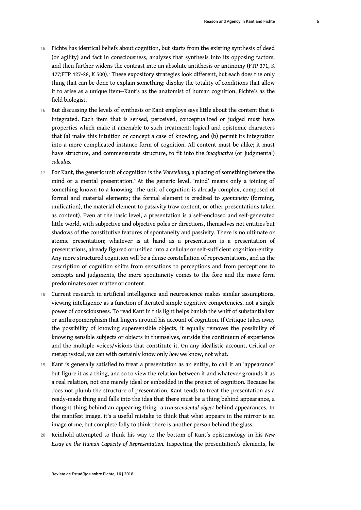- <span id="page-6-0"></span>15 Fichte has identical beliefs about cognition, but starts from the existing synthesis of deed (or agility) and fact in consciousness, analyzes that synthesis into its opposing factors, and then further widens the contrast into an absolute antithesis or antinomy (FTP 371, K 477;FTP 427-28, K [5](#page-15-0)00).<sup>5</sup> These expository strategies look different, but each does the only thing that can be done to explain something: display the totality of conditions that allow it to arise as a unique item--Kant's as the anatomist of human cognition, Fichte's as the field biologist.
- 16 But discussing the levels of synthesis or Kant employs says little about the content that is integrated. Each item that is sensed, perceived, conceptualized or judged must have properties which make it amenable to such treatment: logical and epistemic characters that (a) make this intuition or concept a case of knowing, and (b) permit its integration into a more complicated instance form of cognition. All content must be alike; it must have structure, and commensurate structure, to fit into the *imaginative* (or judgmental) *calculus.*
- <span id="page-6-1"></span><sup>17</sup>For Kant, the generic unit of cognition is the *Vorstellung,* a placing of something before the mind or a mental presentation.<sup>[6](#page-15-1)</sup> At the generic level, 'mind' means only a joining of something known to a knowing. The unit of cognition is already complex, composed of formal and material elements; the formal element is credited to *spontaneity* (forming, unification), the material element to passivity (raw content, or other presentations taken as content). Even at the basic level, a presentation is a self-enclosed and self-generated little world, with subjective and objective poles or directions, themselves not entities but shadows of the constitutive features of spontaneity and passivity. There is no ultimate or atomic presentation; whatever is at hand as a presentation is a presentation of presentations, already figured or unified into a cellular or self-sufficient cognition-entity. Any more structured cognition will be a dense constellation of representations, and as the description of cognition shifts from sensations to perceptions and from perceptions to concepts and judgments, the more spontaneity comes to the fore and the more form predominates over matter or content.
- 18 Current research in artificial intelligence and neuroscience makes similar assumptions, viewing intelligence as a function of iterated simple cognitive competencies, not a single power of consciousness. To read Kant in this light helps banish the whiff of substantialism or anthropomorphism that lingers around his account of cognition. If Critique takes away the possibility of knowing supersensible objects, it equally removes the possibility of knowing sensible subjects or objects in themselves, outside the continuum of experience and the multiple voices/visions that constitute it. On any idealistic account, Critical or metaphysical, we can with certainly know only *how* we know, not what.
- 19 Kant is generally satisfied to treat a presentation as an entity, to call it an 'appearance' but figure it as a thing, and so to view the relation between it and whatever grounds it as a real relation, not one merely ideal or embedded in the project of cognition. Because he does not plumb the structure of presentation, Kant tends to treat the presentation as a ready-made thing and falls into the idea that there must be a thing behind appearance, a thought-thing behind an appearing thing--a *transcendental object* behind appearances. In the manifest image, it's a useful mistake to think that what appears in the mirror is an image of me, but complete folly to think there is another person behind the glass.
- <sup>20</sup>Reinhold attempted to think his way to the bottom of Kant's epistemology in his *New Essay on the Human Capacity of Representation.* Inspecting the presentation's elements, he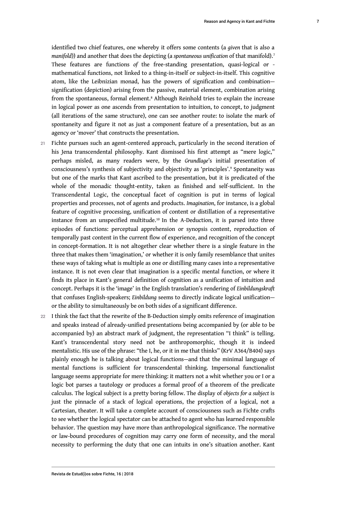<span id="page-7-1"></span><span id="page-7-0"></span>identified two chief features, one whereby it offers some contents (a *given* that is also a *manifold*)) and another that does the depicting (a *spontaneous unification* of that manifold).[7](#page-15-2) These features are functions *of* the free-standing presentation, quasi-logical or mathematical functions, not linked to a thing-in-itself or subject-in-itself. This cognitive atom, like the Leibnizian monad, has the powers of signification and combination signification (depiction) arising from the passive, material element, combination arising from the spontaneous, formal element.[8](#page-15-3) Although Reinhold tries to explain the increase in logical power as one ascends from presentation to intuition, to concept, to judgment (all iterations of the same structure), one can see another route: to isolate the mark of spontaneity and figure it not as just a component feature of a presentation, but as an agency or 'mover' that constructs the presentation.

- <span id="page-7-3"></span><span id="page-7-2"></span>21 Fichte pursues such an agent-centered approach, particularly in the second iteration of his Jena transcendental philosophy. Kant dismissed his first attempt as "mere logic," perhaps misled, as many readers were, by the *Grundlage*'s initial presentation of consciousness's synthesis of subjectivity and objectivity as 'principles'.[9](#page-15-4) Spontaneity was but one of the marks that Kant ascribed to the presentation, but it is predicated of the whole of the monadic thought-entity, taken as finished and self-sufficient. In the Transcendental Logic, the conceptual facet of cognition is put in terms of logical properties and processes, not of agents and products. *Imagination*, for instance, is a global feature of cognitive processing, unification of content or distillation of a representative instance from an unspecified multitude.[10](#page-15-5) In the A-Deduction, it is parsed into three episodes of functions: perceptual apprehension or synopsis content, reproduction of temporally past content in the current flow of experience, and recognition of the concept in concept-formation. It is not altogether clear whether there is a single feature in the three that makes them 'imagination,' or whether it is only family resemblance that unites these ways of taking what is multiple as one or distilling many cases into a representative instance. It is not even clear that imagination is a specific mental function, or where it finds its place in Kant's general definition of cognition as a unification of intuition and concept. Perhaps it is the 'image' in the English translation's rendering of *Einbildungskraft* that confuses English-speakers; *Einbildung* seems to directly indicate logical unification or the ability to simultaneously be on both sides of a significant difference.
- 22 I think the fact that the rewrite of the B-Deduction simply omits reference of imagination and speaks instead of already-unified presentations being accompanied by (or able to be accompanied by) an abstract mark of judgment, the representation "I think" is telling. Kant's transcendental story need not be anthropomorphic, though it is indeed mentalistic. His use of the phrase: "the I, he, or it in me that thinks" (KrV A364/B404) says plainly enough he is talking about logical functions—and that the minimal language of mental functions is sufficient for transcendental thinking. Impersonal functionalist language seems appropriate for mere thinking: it matters not a whit whether you or I or a logic bot parses a tautology or produces a formal proof of a theorem of the predicate calculus. The logical subject is a pretty boring fellow. The display of *objects for a subject* is just the pinnacle of a stack of logical operations, the projection of a logical, not a Cartesian, theater. It will take a complete account of consciousness such as Fichte crafts to see whether the logical spectator can be attached to agent who has learned responsible behavior. The question may have more than anthropological significance. The normative or law-bound procedures of cognition may carry one form of necessity, and the moral necessity to performing the duty that one can intuits in one's situation another. Kant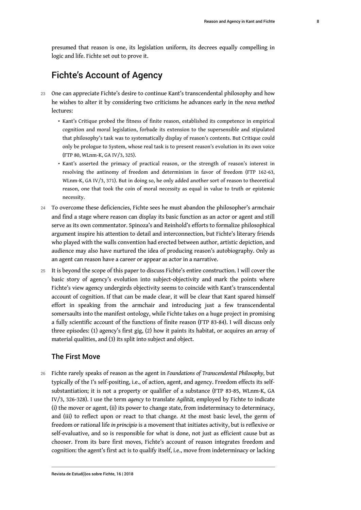presumed that reason is one, its legislation uniform, its decrees equally compelling in logic and life. Fichte set out to prove it.

# Fichte's Account of Agency

- 23 One can appreciate Fichte's desire to continue Kant's transcendental philosophy and how he wishes to alter it by considering two criticisms he advances early in the *nova method* lectures:
	- Kant's Critique probed the fitness of finite reason, established its competence in empirical cognition and moral legislation, forbade its extension to the supersensible and stipulated that philosophy's task was to systematically display of reason's contents. But Critique could only be prologue to System, whose real task is to present reason's evolution in its own voice (FTP 80, WLnm-K, GA IV/3, 325).
	- Kant's asserted the primacy of practical reason, or the strength of reason's interest in resolving the antinomy of freedom and determinism in favor of freedom (FTP 162-63, WLnm-K, GA IV/3, 371). But in doing so, he only added another sort of reason to theoretical reason, one that took the coin of moral necessity as equal in value to truth or epistemic necessity.
- 24 To overcome these deficiencies, Fichte sees he must abandon the philosopher's armchair and find a stage where reason can display its basic function as an actor or agent and still serve as its own commentator. Spinoza's and Reinhold's efforts to formalize philosophical argument inspire his attention to detail and interconnection, but Fichte's literary friends who played with the walls convention had erected between author, artistic depiction, and audience may also have nurtured the idea of producing reason's autobiography. Only as an agent can reason have a career or appear as actor in a narrative.
- 25 It is beyond the scope of this paper to discuss Fichte's entire construction. I will cover the basic story of agency's evolution into subject-objectivity and mark the points where Fichte's view agency undergirds objectivity seems to coincide with Kant's transcendental account of cognition. If that can be made clear, it will be clear that Kant spared himself effort in speaking from the armchair and introducing just a few transcendental somersaults into the manifest ontology, while Fichte takes on a huge project in promising a fully scientific account of the functions of finite reason (FTP 83-84). I will discuss only three episodes: (1) agency's first gig, (2) how it paints its habitat, or acquires an array of material qualities, and (3) its split into subject and object.

#### The First Move

<sup>26</sup>Fichte rarely speaks of reason as the agent in *Foundations of Transcendental Philosophy,* but typically of the I's self-positing, i.e., of action, agent, and agency. Freedom effects its selfsubstantiation; it is not a property or qualifier of a substance (FTP 83-85, WLnm-K, GA IV/3, 326-328). I use the term *agency* to translate *Agilität,* employed by Fichte to indicate (i) the mover or agent, (ii) its power to change state, from indeterminacy to determinacy, and (iii) to reflect upon or react to that change. At the most basic level, the germ of freedom or rational life *in principio* is a movement that initiates activity, but is reflexive or self-evaluative, and so is responsible for what is done, not just as efficient cause but as chooser. From its bare first moves, Fichte's account of reason integrates freedom and cognition: the agent's first act is to qualify itself, i.e., move from indeterminacy or lacking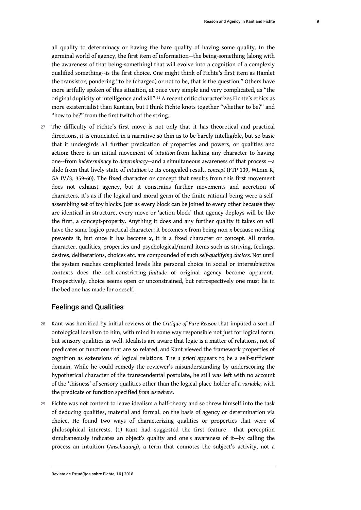<span id="page-9-0"></span>all quality to determinacy or having the bare quality of having some quality. In the germinal world of agency, the first item of information—the being-something (along with the awareness of that being-something) that will evolve into a cognition of a complexly qualified something--is the first choice. One might think of Fichte's first item as Hamlet the transistor, pondering "to be (charged) or not to be, that is the question." Others have more artfully spoken of this situation, at once very simple and very complicated, as "the original duplicity of intelligence and will".[11](#page-15-6) A recent critic characterizes Fichte's ethics as more existentialist than Kantian, but I think Fichte knots together "whether to be?" and "how to be?" from the first twitch of the string.

27 The difficulty of Fichte's first move is not only that it has theoretical and practical directions, it is enunciated in a narrative so thin as to be barely intelligible, but so basic that it undergirds all further predication of properties and powers, or qualities and action: there is an initial movement of *intuition* from lacking any character to having one--from *indeterminacy* to *determinacy*--and a simultaneous awareness of that process --a slide from that lively state of *intuition* to its congealed result, *concept* (FTP 139, WLnm-K, GA IV/3, 359-60). The fixed character or concept that results from this first movement does not exhaust agency, but it constrains further movements and accretion of characters. It's as if the logical and moral germ of the finite rational being were a selfassembling set of toy blocks. Just as every block can be joined to every other because they are identical in structure, every move or 'action-block' that agency deploys will be like the first, a concept-property. Anything it does and any further quality it takes on will have the same logico-practical character: it becomes *x* from being non-*x* because nothing prevents it, but once it has become *x*, it is a fixed character or concept. All marks, character, qualities, properties and psychological/moral items such as striving, feelings, desires, deliberations, choices etc. are compounded of such *self-qualifying choices.* Not until the system reaches complicated levels like personal choice in social or intersubjective contexts does the self-constricting *finitude* of original agency become apparent. Prospectively, choice seems open or unconstrained, but retrospectively one must lie in the bed one has made for oneself.

#### Feelings and Qualities

- <sup>28</sup>Kant was horrified by initial reviews of the *Critique of Pure Reason* that imputed a sort of ontological idealism to him, with mind in some way responsible not just for logical form, but sensory qualities as well. Idealists are aware that logic is a matter of relations, not of predicates or functions that are so related, and Kant viewed the framework properties of cognition as extensions of logical relations. The *a priori* appears to be a self-sufficient domain. While he could remedy the reviewer's misunderstanding by underscoring the hypothetical character of the transcendental postulate, he still was left with no account of the 'thisness' of sensory qualities other than the logical place-holder of a *variable,* with the predicate or function specified *from elsewhere*.
- 29 Fichte was not content to leave idealism a half-theory and so threw himself into the task of deducing qualities, material and formal, on the basis of agency or determination via choice. He found two ways of characterizing qualities or properties that were of philosophical interests. (1) Kant had suggested the first feature-- that perception simultaneously indicates an object's quality and one's awareness of it—by calling the process an intuition (*Anschauung*), a term that connotes the subject's activity, not a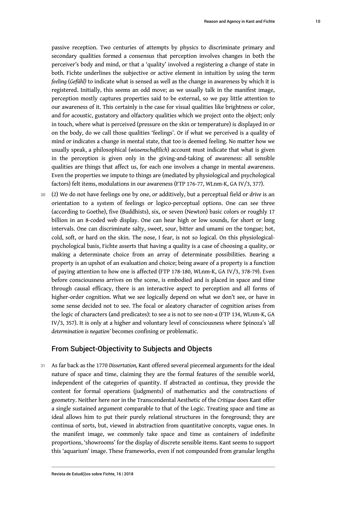passive reception. Two centuries of attempts by physics to discriminate primary and secondary qualities formed a consensus that perception involves changes in both the perceiver's body and mind, or that a 'quality' involved a registering a change of state in both. Fichte underlines the subjective or active element in intuition by using the term *feeling* (*Gefühl)* to indicate what is sensed as well as the change in awareness by which it is registered. Initially, this seems an odd move; as we usually talk in the manifest image, perception mostly captures properties said to be external, so we pay little attention to our awareness of it. This certainly is the case for visual qualities like brightness or color, and for acoustic, gustatory and olfactory qualities which we project onto the object; only in touch, where what is perceived (pressure on the skin or temperature) is displayed in or on the body, do we call those qualities 'feelings'. Or if what we perceived is a quality of mind or indicates a change in mental state, that too is deemed feeling. No matter how we usually speak, a philosophical (*wissenschaftlich*) account must indicate that what is given in the perception is given only in the giving-and-taking of awareness: all sensible

- qualities are things that affect us, for each one involves a change in mental awareness. Even the properties we impute to things are (mediated by physiological and psychological factors) felt items, modulations in our awareness (FTP 176-77, WLnm-K, GA IV/3, 377).
- <sup>30</sup>(2) We do not have feelings one by one, or additively, but a perceptual field or *drive* is an orientation to a system of feelings or logico-perceptual options. One can see three (according to Goethe), five (Buddhists), six, or seven (Newton) basic colors or roughly 17 billion in an 8-coded web display. One can hear high or low sounds, for short or long intervals. One can discriminate salty, sweet, sour, bitter and umami on the tongue; hot, cold, soft, or hard on the skin. The nose, I fear, is not so logical. On this physiologicalpsychological basis, Fichte asserts that having a quality is a case of choosing a quality, or making a determinate choice from an array of determinate possibilities. Bearing a property is an upshot of an evaluation and choice; being aware of a property is a function of paying attention to how one is affected (FTP 178-180, WLnm-K, GA IV/3, 378-79). Even before consciousness arrives on the scene, is embodied and is placed in space and time through causal efficacy, there is an interactive aspect to perception and all forms of higher-order cognition. What we see logically depend on what we don't see, or have in some sense decided not to see. The focal or aleatory character of cognition arises from the logic of characters (and predicates): to see *a* is not to see non-*a* (FTP 134, WLnm-K, GA IV/3, 357). It is only at a higher and voluntary level of consciousness where Spinoza's *'all determination is negation'* becomes confining or problematic.

#### From Subject-Objectivity to Subjects and Objects

<sup>31</sup>As far back as the 1770 *Dissertation,* Kant offered several piecemeal arguments for the ideal nature of space and time, claiming they are the formal features of the sensible world, independent of the categories of quantity. If abstracted as continua, they provide the content for formal operations (judgments) of mathematics and the constructions of geometry. Neither here nor in the Transcendental Aesthetic of the *Critique* does Kant offer a single sustained argument comparable to that of the Logic. Treating space and time as ideal allows him to put their purely relational structures in the foreground; they are continua of sorts, but, viewed in abstraction from quantitative concepts, vague ones. In the manifest image, we commonly take space and time as containers of indefinite proportions, 'showrooms' for the display of discrete sensible items. Kant seems to support this 'aquarium' image. These frameworks, even if not compounded from granular lengths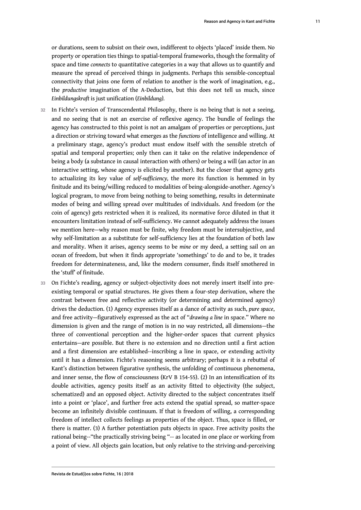or durations, seem to subsist on their own, indifferent to objects 'placed' inside them. No property or operation ties things to spatial-temporal frameworks, though the formality of space and time *connects* to quantitative categories in a way that allows us to quantify and measure the spread of perceived things in judgments. Perhaps this sensible-conceptual connectivity that joins one form of relation to another is the work of imagination, e.g., the *productive* imagination of the A-Deduction, but this does not tell us much, since *Einbildungskraft* is just unification (*Einbildung).*

- 32 In Fichte's version of Transcendental Philosophy, there is no being that is not a seeing, and no seeing that is not an exercise of reflexive agency. The bundle of feelings the agency has constructed to this point is not an amalgam of properties or perceptions, just a direction or striving toward what emerges as the *functions* of intelligence and willing. At a preliminary stage, agency's product must endow itself with the sensible stretch of spatial and temporal properties; only then can it take on the relative independence of being a body (a substance in causal interaction with others) or being a will (an actor in an interactive setting, whose agency is elicited by another). But the closer that agency gets to actualizing its key value of *self-sufficiency,* the more its function is hemmed in by finitude and its being/willing reduced to modalities of being-alongside-another. Agency's logical program, to move from being nothing to being something, results in determinate modes of being and willing spread over multitudes of individuals. And freedom (or the coin of agency) gets restricted when it is realized, its normative force diluted in that it encounters limitation instead of self-sufficiency. We cannot adequately address the issues we mention here—why reason must be finite, why freedom must be intersubjective, and why self-limitation as a substitute for self-sufficiency lies at the foundation of both law and morality. When it arises, agency seems to be *mine* or my deed, a setting sail on an ocean of freedom, but when it finds appropriate 'somethings' to do and to be, it trades freedom for determinateness, and, like the modern consumer, finds itself smothered in the 'stuff' of finitude.
- 33 On Fichte's reading, agency or subject-objectivity does not merely insert itself into preexisting temporal or spatial structures. He gives them a four-step derivation, where the contrast between free and reflective activity (or determining and determined agency) drives the deduction. (1) Agency expresses itself as a dance of activity as such, *pure space*, and free activity—figuratively expressed as the act of "*drawing a line* in space." Where no dimension is given and the range of motion is in no way restricted, all dimensions—the three of conventional perception and the higher-order spaces that current physics entertains—are possible. But there is no extension and no direction until a first action and a first dimension are established--inscribing a line in space, or extending activity until it has a dimension. Fichte's reasoning seems arbitrary; perhaps it is a rebuttal of Kant's distinction between figurative synthesis, the unfolding of continuous phenomena, and inner sense, the flow of consciousness (KrV B 154-55). (2) In an intensification of its double activities, agency posits itself as an activity fitted to objectivity (the subject, schematized) and an opposed object. Activity directed to the subject concentrates itself into a point or 'place', and further free acts extend the spatial spread, so matter-space become an infinitely divisible continuum. If that is freedom of willing, a corresponding freedom of intellect collects feelings as properties of the object. Thus, space is filled, or there is matter. (3) A further potentiation puts objects in space. Free activity posits the rational being--"the practically striving being "-- as located in one place or working from a point of view. All objects gain location, but only relative to the striving-and-perceiving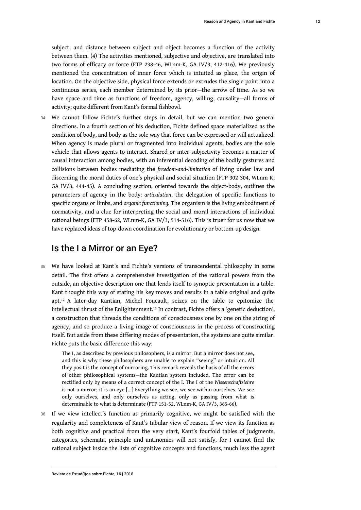between them. (4) The activities mentioned, subjective and objective, are translated into two forms of efficacy or force (FTP 238-46, WLnm-K, GA IV/3, 412-416). We previously mentioned the concentration of inner force which is intuited as place, the origin of location. On the objective side, physical force extends or extrudes the single point into a continuous series, each member determined by its prior—the arrow of time. As so we have space and time as functions of freedom, agency, willing, causality—all forms of activity; quite different from Kant's formal fishbowl.

34 We cannot follow Fichte's further steps in detail, but we can mention two general directions. In a fourth section of his deduction, Fichte defined space materialized as the condition of body, and body as the sole way that force can be expressed or will actualized. When agency is made plural or fragmented into individual agents, bodies are the sole vehicle that allows agents to interact. Shared or inter-subjectivity becomes a matter of causal interaction among bodies, with an inferential decoding of the bodily gestures and collisions between bodies mediating the *freedom-and-limitation* of living under law and discerning the moral duties of one's physical and social situation (FTP 302-304, WLnm-K, GA IV/3, 444-45). A concluding section, oriented towards the object-body, outlines the parameters of agency in the body: *articulation*, the delegation of specific functions to specific organs or limbs, and *organic functioning.* The organism is the living embodiment of normativity, and a clue for interpreting the social and moral interactions of individual rational beings (FTP 458-62, WLnm-K, GA IV/3, 514-516). This is truer for us now that we have replaced ideas of top-down coordination for evolutionary or bottom-up design.

#### Is the I a Mirror or an Eye?

<span id="page-12-0"></span>35 We have looked at Kant's and Fichte's versions of transcendental philosophy in some detail. The first offers a comprehensive investigation of the rational powers from the outside, an objective description one that lends itself to synoptic presentation in a table. Kant thought this way of stating his key moves and results in a table original and quite apt.[12](#page-15-7) A later-day Kantian, Michel Foucault, seizes on the table to epitomize the intellectual thrust of the Enlightenment.[13](#page-15-8) In contrast, Fichte offers a 'genetic deduction', a construction that threads the conditions of consciousness one by one on the string of agency, and so produce a living image of consciousness in the process of constructing itself. But aside from these differing modes of presentation, the systems are quite similar. Fichte puts the basic difference this way:

<span id="page-12-1"></span>The I, as described by previous philosophers, is a mirror. But a mirror does not see, and this is why these philosophers are unable to explain "seeing" or intuition. All they posit is the concept of mirroring. This remark reveals the basis of all the errors of other philosophical systems—the Kantian system included. The error can be rectified only by means of a correct concept of the I. The I of the *Wissenschaftslehre*  is not a mirror; it is an eye […] Everything we see, we see within ourselves. We see only ourselves, and only ourselves as acting, only as passing from what is determinable to what is determinate (FTP 151-52, WLnm-K, GA IV/3, 365-66).

36 If we view intellect's function as primarily cognitive, we might be satisfied with the regularity and completeness of Kant's tabular view of reason. If we view its function as both cognitive and practical from the very start, Kant's fourfold tables of judgments, categories, schemata, principle and antinomies will not satisfy, for I cannot find the rational subject inside the lists of cognitive concepts and functions, much less the agent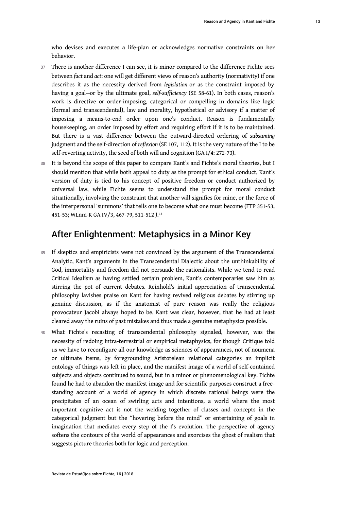who devises and executes a life-plan or acknowledges normative constraints on her behavior.

- 37 There is another difference I can see, it is minor compared to the difference Fichte sees between *fact* and *act*: one will get different views of reason's authority (normativity) if one describes it as the necessity derived from *legislation* or as the constraint imposed by having a goal--or by the ultimate goal, *self-sufficiency* (SE 58-61). In both cases, reason's work is directive or order-imposing, categorical or compelling in domains like logic (formal and transcendental), law and morality, hypothetical or advisory if a matter of imposing a means-to-end order upon one's conduct. Reason is fundamentally housekeeping, an order imposed by effort and requiring effort if it is to be maintained. But there is a vast difference between the outward-directed ordering of *subsuming*  judgment and the self-direction of *reflexion* (SE 107, 112)*.* It is the very nature of the I to be self-reverting activity, the seed of both will and cognition (GA I/4: 272-73).
- 38 It is beyond the scope of this paper to compare Kant's and Fichte's moral theories, but I should mention that while both appeal to duty as the prompt for ethical conduct, Kant's version of duty is tied to his concept of positive freedom or conduct authorized by universal law, while Fichte seems to understand the prompt for moral conduct situationally, involving the constraint that another will signifies for mine, or the force of the interpersonal 'summons' that tells one to become what one must become (FTP 351-53, 451-53; WLnm-K GA IV/3, 467-79, 511-512).<sup>[14](#page-15-9)</sup>

#### <span id="page-13-0"></span>After Enlightenment: Metaphysics in a Minor Key

- 39 If skeptics and empiricists were not convinced by the argument of the Transcendental Analytic, Kant's arguments in the Transcendental Dialectic about the unthinkability of God, immortality and freedom did not persuade the rationalists. While we tend to read Critical Idealism as having settled certain problem, Kant's contemporaries saw him as stirring the pot of current debates. Reinhold's initial appreciation of transcendental philosophy lavishes praise on Kant for having revived religious debates by stirring up genuine discussion, as if the anatomist of pure reason was really the religious provocateur Jacobi always hoped to be. Kant was clear, however, that he had at least cleared away the ruins of past mistakes and thus made a genuine metaphysics possible.
- 40 What Fichte's recasting of transcendental philosophy signaled, however, was the necessity of redoing intra-terrestrial or empirical metaphysics, for though Critique told us we have to reconfigure all our knowledge as sciences of appearances, not of noumena or ultimate items, by foregrounding Aristotelean relational categories an implicit ontology of things was left in place, and the manifest image of a world of self-contained subjects and objects continued to sound, but in a minor or phenomenological key. Fichte found he had to abandon the manifest image and for scientific purposes construct a freestanding account of a world of agency in which discrete rational beings were the precipitates of an ocean of swirling acts and intentions, a world where the most important cognitive act is not the welding together of classes and concepts in the categorical judgment but the "hovering before the mind" or entertaining of goals in imagination that mediates every step of the I's evolution. The perspective of agency softens the contours of the world of appearances and exorcises the ghost of realism that suggests picture theories both for logic and perception.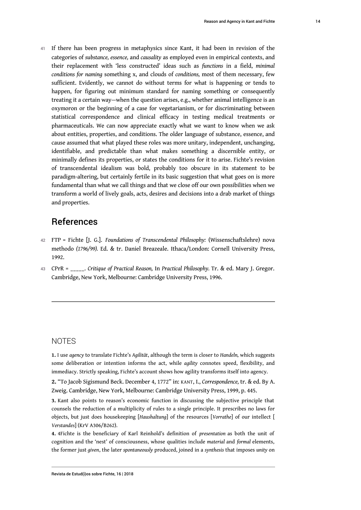41 If there has been progress in metaphysics since Kant, it had been in revision of the categories of *substance, essence,* and *causality* as employed even in empirical contexts, and their replacement with 'less constructed' ideas such as *functions* in a field, *minimal conditions for naming* something x, and clouds of *conditions,* most of them necessary, few sufficient. Evidently, we cannot do without terms for what is happening or tends to happen, for figuring out minimum standard for naming something or consequently treating it a certain way—when the question arises, e.g., whether animal intelligence is an oxymoron or the beginning of a case for vegetarianism, or for discriminating between statistical correspondence and clinical efficacy in testing medical treatments or pharmaceuticals. We can now appreciate exactly what we want to know when we ask about entities, properties, and conditions. The older language of substance, essence, and cause assumed that what played these roles was more unitary, independent, unchanging, identifiable, and predictable than what makes something a discernible entity, or minimally defines its properties, or states the conditions for it to arise. Fichte's revision of transcendental idealism was bold, probably too obscure in its statement to be paradigm-altering, but certainly fertile in its basic suggestion that what goes on is more fundamental than what we call things and that we close off our own possibilities when we transform a world of lively goals, acts, desires and decisions into a drab market of things and properties.

## References

- <sup>42</sup>FTP = Fichte [J. G.]. *Foundations of Transcendental Philosophy:* (Wissenschaftslehre) nova methodo *(1796/99).* Ed. & tr. Daniel Breazeale. Ithaca/London: Cornell University Press, 1992.
- <sup>43</sup>CPrR = \_\_\_\_\_. *Critique of Practical Reason,* In *Practical Philosophy.* Tr. & ed. Mary J. Gregor. Cambridge, New York, Melbourne: Cambridge University Press, 1996.

#### NOTES

<span id="page-14-0"></span>**[1.](#page-1-0)** I use *agency* to translate Fichte's *Agilität*, although the term is closer to *Handeln,* which suggests some deliberation or intention informs the act, while *agility* connotes speed, flexibility, and immediacy. Strictly speaking, Fichte's account shows how agility transforms itself into agency.

<span id="page-14-1"></span>**[2.](#page-3-0)** "To Jacob Sigismund Beck. December 4, 1772" in: KANT, I., *Correspondence,* tr. & ed. By A. Zweig. Cambridge, New York, Melbourne: Cambridge University Press, 1999, p. 445.

<span id="page-14-2"></span>**[3.](#page-3-1)** Kant also points to reason's economic function in discussing the subjective principle that counsels the reduction of a multiplicity of rules to a single principle. It prescribes no laws for objects, but just does housekeeping [*Haushaltung*] of the resources [*Vorrathe*] of our intellect [ *Verstandes*] (KrV A306/B262).

<span id="page-14-3"></span>**[4.](#page-4-0)** 4Fichte is the beneficiary of Karl Reinhold's definition of *presentation* as both the unit of cognition and the 'nest' of consciousness, whose qualities include *material* and *formal* elements, the former just *given*, the later *spontaneously* produced, joined in a *synthesis* that imposes *unity* on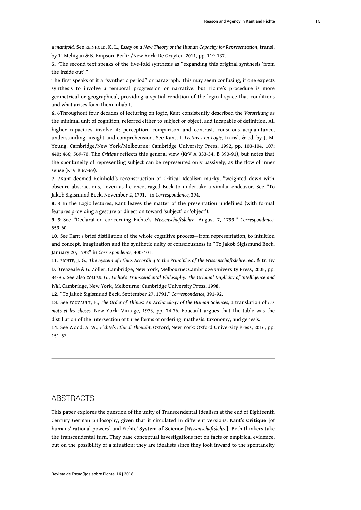a *manifold.* See REINHOLD, K. L., *Essay on a New Theory of the Human Capacity for Representation*, transl. by T. Mehigan & B. Empson, Berlin/New York: De Gruyter, 2011, pp. 119-137.

<span id="page-15-0"></span>**[5.](#page-6-0)** <sup>5</sup>The second text speaks of the five-fold synthesis as "expanding this original synthesis 'from the inside out'."

The first speaks of it a "synthetic period" or paragraph. This may seem confusing, if one expects synthesis to involve a temporal progression or narrative, but Fichte's procedure is more geometrical or geographical, providing a spatial rendition of the logical space that conditions and what arises form them inhabit.

<span id="page-15-1"></span>**[6.](#page-6-1)** 6Throughout four decades of lecturing on logic, Kant consistently described the *Vorstellung* as the minimal unit of cognition, referred either to subject or object, and incapable of definition. All higher capacities involve it: perception, comparison and contrast, conscious acquaintance, understanding, insight and comprehension. See Kant, I. *Lectures on Logic*, transl. & ed. by J. M. Young. Cambridge/New York/Melbourne: Cambridge University Press, 1992, pp. 103-104, 107; 440; 466; 569-70. The *Critique* reflects this general view (KrV A 333-34, B 390-91), but notes that the spontaneity of representing subject can be represented only passively, as the flow of inner sense (KrV B 67-69).

<span id="page-15-2"></span>**[7.](#page-7-0)** 7Kant deemed Reinhold's reconstruction of Critical Idealism murky, "weighted down with obscure abstractions," even as he encouraged Beck to undertake a similar endeavor. See "To Jakob Sigismund Beck. November 2, 1791," in *Correspondence,* 394.

<span id="page-15-3"></span>**[8.](#page-7-1)** 8 In the Logic lectures, Kant leaves the matter of the presentation undefined (with formal features providing a gesture or direction toward 'subject' or 'object').

<span id="page-15-4"></span>**[9.](#page-7-2)** 9 See "Declaration concerning Fichte's *Wissenschaftslehre*. August 7, 1799," *Correspondence,*  559-60.

<span id="page-15-5"></span>**[10.](#page-7-3)** See Kant's brief distillation of the whole cognitive process—from representation, to intuition and concept, imagination and the synthetic unity of consciousness in "To Jakob Sigismund Beck. January 20, 1792" in *Correspondence,* 400-401.

<span id="page-15-6"></span>**[11.](#page-9-0)** FICHTE, J. G., *The System of Ethics According to the Principles of the Wissenschaftslehre*, ed. & tr. By D. Breazeale & G. Zöller, Cambridge, New York, Melbourne: Cambridge University Press, 2005, pp. 84-85. See also ZÖLLER, G., *Fichte's Transcendental Philosophy: The Original Duplicity of Intelligence and Will,* Cambridge, New York, Melbourne: Cambridge University Press, 1998.

<span id="page-15-7"></span>**[12.](#page-12-0)** "To Jakob Sigismund Beck. September 27, 1791," *Correspondence,* 391-92.

<span id="page-15-8"></span>**[13.](#page-12-1)** See FOUCAULT, F., *The Order of Things: An Archaeology of the Human Sciences,* a translation of *Les mots et les choses,* New York: Vintage, 1973, pp. 74-76. Foucault argues that the table was the distillation of the intersection of three forms of ordering: mathesis, taxonomy, and genesis.

<span id="page-15-9"></span>**[14.](#page-13-0)** See Wood, A. W., *Fichte's Ethical Thought,* Oxford, New York: Oxford University Press, 2016, pp. 151-52.

#### **ABSTRACTS**

This paper explores the question of the unity of Transcendental Idealism at the end of Eighteenth Century German philosophy, given that it circulated in different versions, Kant's **Critique** [of humans' rational powers] and Fichte' **System of Science** [*Wissenschaftslehre*]**.** Both thinkers take the transcendental turn. They base conceptual investigations not on facts or empirical evidence, but on the possibility of a situation; they are idealists since they look inward to the spontaneity